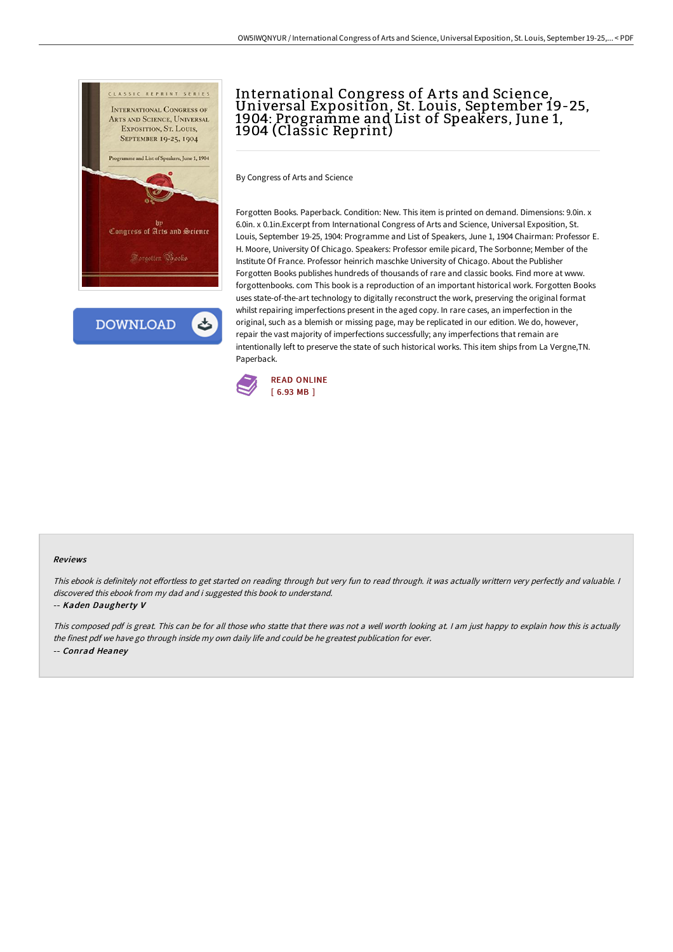

**DOWNLOAD** 

## International Congress of Arts and Science,<br>Universal Exposition, St. Louis, September 19-25, 1904: Programme and List of Speakers, June 1, 1904 (Classic Reprint)

By Congress of Arts and Science

Forgotten Books. Paperback. Condition: New. This item is printed on demand. Dimensions: 9.0in. x 6.0in. x 0.1in.Excerpt from International Congress of Arts and Science, Universal Exposition, St. Louis, September 19-25, 1904: Programme and List of Speakers, June 1, 1904 Chairman: Professor E. H. Moore, University Of Chicago. Speakers: Professor emile picard, The Sorbonne; Member of the Institute Of France. Professor heinrich maschke University of Chicago. About the Publisher Forgotten Books publishes hundreds of thousands of rare and classic books. Find more at www. forgottenbooks. com This book is a reproduction of an important historical work. Forgotten Books uses state-of-the-art technology to digitally reconstruct the work, preserving the original format whilst repairing imperfections present in the aged copy. In rare cases, an imperfection in the original, such as a blemish or missing page, may be replicated in our edition. We do, however, repair the vast majority of imperfections successfully; any imperfections that remain are intentionally left to preserve the state of such historical works. This item ships from La Vergne,TN. Paperback.



## Reviews

This ebook is definitely not effortless to get started on reading through but very fun to read through. it was actually writtern very perfectly and valuable. I discovered this ebook from my dad and i suggested this book to understand.

## -- Kaden Daugherty V

This composed pdf is great. This can be for all those who statte that there was not <sup>a</sup> well worth looking at. <sup>I</sup> am just happy to explain how this is actually the finest pdf we have go through inside my own daily life and could be he greatest publication for ever. -- Conrad Heaney